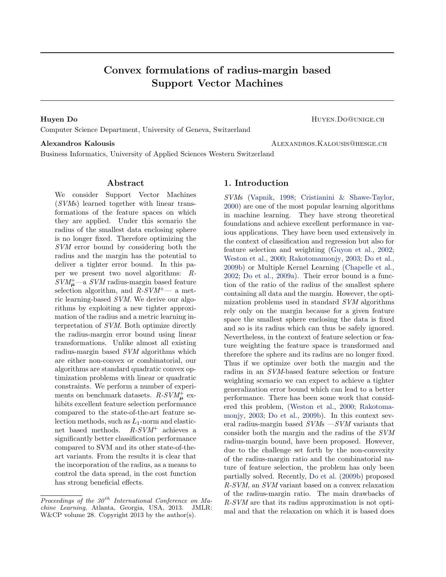# Convex formulations of radius-margin based Support Vector Machines

Huyen Do **HUYEN.DO@UNIGE.CH** Computer Science Department, University of Geneva, Switzerland

Alexandros Kalousis **Alexandros Alexandros Alexandros Alexandros** Alexandros Alexandros Alexandros A

Business Informatics, University of Applied Sciences Western Switzerland

#### Abstract

We consider Support Vector Machines (SVMs) learned together with linear transformations of the feature spaces on which they are applied. Under this scenario the radius of the smallest data enclosing sphere is no longer fixed. Therefore optimizing the SVM error bound by considering both the radius and the margin has the potential to deliver a tighter error bound. In this paper we present two novel algorithms: R- $SVM_{\mu}^{+}$ —a  $SVM$  radius-margin based feature selection algorithm, and  $R-SVM^+$ — a metric learning-based SVM. We derive our algorithms by exploiting a new tighter approximation of the radius and a metric learning interpretation of SVM. Both optimize directly the radius-margin error bound using linear transformations. Unlike almost all existing radius-margin based SVM algorithms which are either non-convex or combinatorial, our algorithms are standard quadratic convex optimization problems with linear or quadratic constraints. We perform a number of experiments on benchmark datasets.  $R-SVM_{\mu}^{+}$  exhibits excellent feature selection performance compared to the state-of-the-art feature selection methods, such as  $L_1$ -norm and elasticnet based methods.  $R-SVM^+$  achieves a significantly better classification performance compared to SVM and its other state-of-theart variants. From the results it is clear that the incorporation of the radius, as a means to control the data spread, in the cost function has strong beneficial effects.

### 1. Introduction

SVMs [\(Vapnik,](#page-8-0) [1998;](#page-8-0) [Cristianini & Shawe-Taylor,](#page-8-0) [2000\)](#page-8-0) are one of the most popular learning algorithms in machine learning. They have strong theoretical foundations and achieve excellent performance in various applications. They have been used extensively in the context of classification and regression but also for feature selection and weighting [\(Guyon et al.,](#page-8-0) [2002;](#page-8-0) [Weston et al.,](#page-8-0) [2000;](#page-8-0) [Rakotomamonjy,](#page-8-0) [2003;](#page-8-0) [Do et al.,](#page-8-0) [2009b\)](#page-8-0) or Multiple Kernel Learning [\(Chapelle et al.,](#page-8-0) [2002;](#page-8-0) [Do et al.,](#page-8-0) [2009a\)](#page-8-0). Their error bound is a function of the ratio of the radius of the smallest sphere containing all data and the margin. However, the optimization problems used in standard SVM algorithms rely only on the margin because for a given feature space the smallest sphere enclosing the data is fixed and so is its radius which can thus be safely ignored. Nevertheless, in the context of feature selection or feature weighting the feature space is transformed and therefore the sphere and its radius are no longer fixed. Thus if we optimize over both the margin and the radius in an SVM-based feature selection or feature weighting scenario we can expect to achieve a tighter generalization error bound which can lead to a better performance. There has been some work that considered this problem, [\(Weston et al.,](#page-8-0) [2000;](#page-8-0) [Rakotoma](#page-8-0)[monjy,](#page-8-0) [2003;](#page-8-0) [Do et al.,](#page-8-0) [2009b\)](#page-8-0). In this context several radius-margin based  $SVMs - SVM$  variants that consider both the margin and the radius of the SVM radius-margin bound, have been proposed. However, due to the challenge set forth by the non-convexity of the radius-margin ratio and the combinatorial nature of feature selection, the problem has only been partially solved. Recently, [Do et al.](#page-8-0) [\(2009b\)](#page-8-0) proposed R-SVM, an SVM variant based on a convex relaxation of the radius-margin ratio. The main drawbacks of R-SVM are that its radius approximation is not optimal and that the relaxation on which it is based does

Proceedings of the  $30<sup>th</sup>$  International Conference on Machine Learning, Atlanta, Georgia, USA, 2013. JMLR: W&CP volume 28. Copyright 2013 by the author(s).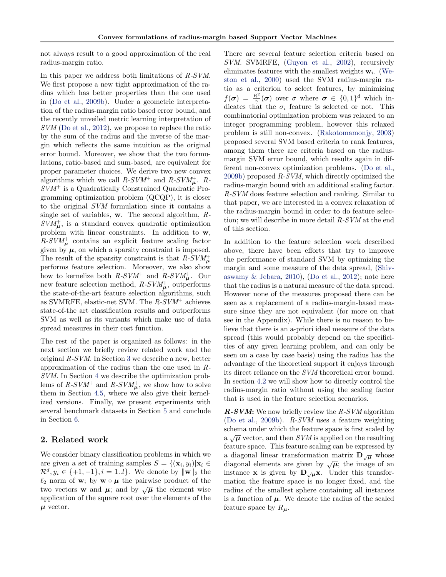not always result to a good approximation of the real radius-margin ratio.

In this paper we address both limitations of R-SVM. We first propose a new tight approximation of the radius which has better properties than the one used in [\(Do et al.,](#page-8-0) [2009b\)](#page-8-0). Under a geometric interpretation of the radius-margin ratio based error bound, and the recently unveiled metric learning interpretation of SVM [\(Do et al.,](#page-8-0) [2012\)](#page-8-0), we propose to replace the ratio by the sum of the radius and the inverse of the margin which reflects the same intuition as the original error bound. Moreover, we show that the two formulations, ratio-based and sum-based, are equivalent for proper parameter choices. We derive two new convex algorithms which we call  $R-SVM^+$  and  $R-SVM^+_{\mu}$ . R- $SVM<sup>+</sup>$  is a Quadratically Constrained Quadratic Programming optimization problem (QCQP), it is closer to the original SVM formulation since it contains a single set of variables,  $w$ . The second algorithm,  $R$ - $SVM_{\mu}^{+}$ , is a standard convex quadratic optimization problem with linear constraints. In addition to w,  $R-SVM<sub>\mu</sub><sup>+</sup>$  contains an explicit feature scaling factor given by  $\mu$ , on which a sparsity constraint is imposed. The result of the sparsity constraint is that  $R$ - $SVM_{\mu}^{+}$ performs feature selection. Moreover, we also show how to kernelize both  $R-SVM^+$  and  $R-SVM^+_{\mu}$ . Our new feature selection method,  $R-SVM_{\mu}^{+}$ , outperforms the state-of-the-art feature selection algorithms, such as SVMRFE, elastic-net SVM. The  $R-SVM^+$  achieves state-of-the art classification results and outperforms SVM as well as its variants which make use of data spread measures in their cost function.

The rest of the paper is organized as follows: in the next section we briefly review related work and the original R-SVM. In Section [3](#page-2-0) we describe a new, better approximation of the radius than the one used in R-SVM. In Section [4](#page-3-0) we describe the optimization problems of  $R$ - $SVM^+$  and  $R$ - $SVM^+_{\mu}$ , we show how to solve them in Section [4.5,](#page-5-0) where we also give their kernelized versions. Finally, we present experiments with several benchmark datasets in Section [5](#page-6-0) and conclude in Section [6.](#page-7-0)

## 2. Related work

We consider binary classification problems in which we are given a set of training samples  $S = \{(\mathbf{x}_i, y_i)|\mathbf{x}_i \in$  $\mathcal{R}^d, y_i \in \{+1, -1\}, i = 1..l\}.$  We denote by  $\|\mathbf{w}\|_2$  the  $\ell_2$  norm of **w**; by **w**  $\circ$  **µ** the pairwise product of the  $\mathcal{L}_2$  horm of **w**, by **w**  $\circ \mu$  the pairwise product of the two vectors **w** and  $\mu$ ; and by  $\sqrt{\mu}$  the element wise application of the square root over the elements of the  $\mu$  vector.

There are several feature selection criteria based on SVM. SVMRFE, [\(Guyon et al.,](#page-8-0) [2002\)](#page-8-0), recursively eliminates features with the smallest weights  $w_i$ . [\(We](#page-8-0)[ston et al.,](#page-8-0) [2000\)](#page-8-0) used the SVM radius-margin ratio as a criterion to select features, by minimizing  $f(\boldsymbol{\sigma}) = \frac{R^2}{\gamma}$  $\frac{R^2}{\gamma}(\boldsymbol{\sigma})$  over  $\sigma$  where  $\boldsymbol{\sigma} \in \{0,1\}^d$  which indicates that the  $\sigma_i$  feature is selected or not. This combinatorial optimization problem was relaxed to an integer programming problem, however this relaxed problem is still non-convex. [\(Rakotomamonjy,](#page-8-0) [2003\)](#page-8-0) proposed several SVM based criteria to rank features, among them there are criteria based on the radiusmargin SVM error bound, which results again in different non-convex optimization problems. [\(Do et al.,](#page-8-0) [2009b\)](#page-8-0) proposed R-SVM, which directly optimized the radius-margin bound with an additional scaling factor. R-SVM does feature selection and ranking. Similar to that paper, we are interested in a convex relaxation of the radius-margin bound in order to do feature selection; we will describe in more detail R-SVM at the end of this section.

In addition to the feature selection work described above, there have been efforts that try to improve the performance of standard SVM by optimizing the margin and some measure of the data spread, [\(Shiv](#page-8-0)aswamy  $\&$  Jebara, [2010\)](#page-8-0), [\(Do et al.,](#page-8-0) [2012\)](#page-8-0); note here that the radius is a natural measure of the data spread. However none of the measures proposed there can be seen as a replacement of a radius-margin-based measure since they are not equivalent (for more on that see in the Appendix). While there is no reason to believe that there is an a-priori ideal measure of the data spread (this would probably depend on the specificities of any given learning problem, and can only be seen on a case by case basis) using the radius has the advantage of the theoretical support it enjoys through its direct reliance on the SVM theoretical error bound. In section [4.2](#page-4-0) we will show how to directly control the radius-margin ratio without using the scaling factor that is used in the feature selection scenarios.

 $R-SVM:$  We now briefly review the  $R-SVM$  algorithm [\(Do et al.,](#page-8-0) [2009b\)](#page-8-0). R-SVM uses a feature weighting schema under which the feature space is first scaled by a  $\sqrt{\mu}$  vector, and then SVM is applied on the resulting feature space. This feature scaling can be expressed by a diagonal linear transformation matrix  $\mathbf{D}_{\sqrt{\boldsymbol{\mu}}}$  whose diagonal elements are given by  $\sqrt{\mu}$ ; the image of an instance **x** is given by  $D_{\sqrt{\mu}}x$ . Under this transformation the feature space is no longer fixed, and the radius of the smallest sphere containing all instances is a function of  $\mu$ . We denote the radius of the scaled feature space by  $R_{\mu}$ .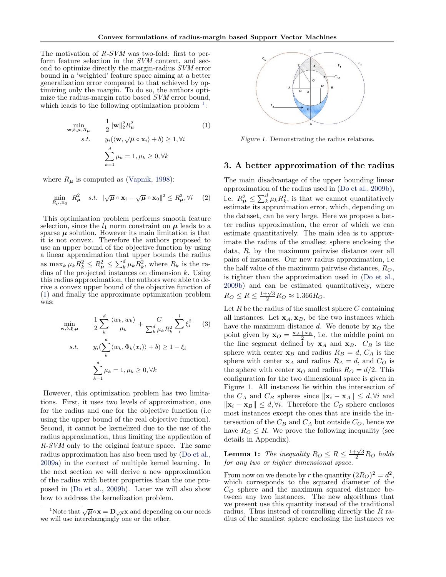<span id="page-2-0"></span>The motivation of R-SVM was two-fold: first to perform feature selection in the SVM context, and second to optimize directly the margin-radius SVM error bound in a 'weighted' feature space aiming at a better generalization error compared to that achieved by optimizing only the margin. To do so, the authors optimize the radius-margin ratio based SVM error bound, which leads to the following optimization problem  $<sup>1</sup>$ :</sup>

$$
\min_{\mathbf{w}, b, \mu, R_{\mu}} \qquad \frac{1}{2} \|\mathbf{w}\|_{2}^{2} R_{\mu}^{2} \qquad (1)
$$
\n
$$
s.t. \qquad y_{i}(\langle \mathbf{w}, \sqrt{\mu} \circ \mathbf{x}_{i} \rangle + b) \ge 1, \forall i
$$
\n
$$
\sum_{k=1}^{d} \mu_{k} = 1, \mu_{k} \ge 0, \forall k
$$

where  $R_{\mu}$  is computed as [\(Vapnik,](#page-8-0) [1998\)](#page-8-0):

$$
\min_{R_{\mu}, \mathbf{x}_0} R_{\mu}^2 \quad s.t. \quad \|\sqrt{\mu} \circ \mathbf{x}_i - \sqrt{\mu} \circ \mathbf{x}_0\|^2 \le R_{\mu}^2, \forall i \quad (2)
$$

This optimization problem performs smooth feature selection, since the  $l_1$  norm constraint on  $\mu$  leads to a sparse  $\mu$  solution. However its main limitation is that it is not convex. Therefore the authors proposed to use an upper bound of the objective function by using a linear approximation that upper bounds the radius as  $\max_k \mu_k R_k^2 \leq R_{\mu}^2 \leq \sum_k^d \mu_k R_k^2$ , where  $R_k$  is the radius of the projected instances on dimension  $k$ . Using this radius approximation, the authors were able to derive a convex upper bound of the objective function of (1) and finally the approximate optimization problem was:

$$
\min_{\mathbf{w},b,\xi,\mu} \qquad \frac{1}{2} \sum_{k}^{d} \frac{\langle w_k, w_k \rangle}{\mu_k} + \frac{C}{\sum_{k}^{d} \mu_k R_k^2} \sum_{i}^{l} \xi_i^2 \qquad (3)
$$
\n
$$
s.t. \qquad y_i(\sum_{k}^{d} \langle w_k, \Phi_k(x_i) \rangle + b) \ge 1 - \xi_i
$$
\n
$$
\sum_{k=1}^{d} \mu_k = 1, \mu_k \ge 0, \forall k
$$

However, this optimization problem has two limitations. First, it uses two levels of approximation, one for the radius and one for the objective function (i.e using the upper bound of the real objective function). Second, it cannot be kernelized due to the use of the radius approximation, thus limiting the application of R-SVM only to the original feature space. The same radius approximation has also been used by [\(Do et al.,](#page-8-0) [2009a\)](#page-8-0) in the context of multiple kernel learning. In the next section we will derive a new approximation of the radius with better properties than the one proposed in [\(Do et al.,](#page-8-0) [2009b\)](#page-8-0). Later we will also show how to address the kernelization problem.



Figure 1. Demonstrating the radius relations.

#### 3. A better approximation of the radius

The main disadvantage of the upper bounding linear approximation of the radius used in [\(Do et al.,](#page-8-0) [2009b\)](#page-8-0), i.e.  $R_{\mu}^2 \leq \sum_{k}^d \mu_k R_k^2$ , is that we cannot quantitatively estimate its approximation error, which, depending on the dataset, can be very large. Here we propose a better radius approximation, the error of which we can estimate quantitatively. The main idea is to approximate the radius of the smallest sphere enclosing the data, R, by the maximum pairwise distance over all pairs of instances. Our new radius approximation, i.e the half value of the maximum pairwise distances,  $R_O$ , is tighter than the approximation used in [\(Do et al.,](#page-8-0) [2009b\)](#page-8-0) and can be estimated quantitatively, where  $R_O \le R \le \frac{1+\sqrt{3}}{2}R_O \approx 1.366R_O.$ 

Let  $R$  be the radius of the smallest sphere  $C$  containing all instances. Let  $\mathbf{x}_A, \mathbf{x}_B$ , be the two instances which have the maximum distance d. We denote by  $x<sub>O</sub>$  the point given by  $\mathbf{x}_O = \frac{\mathbf{x}_A + \mathbf{x}_B}{2}$ , i.e. the middle point on the line segment defined by  $x_A$  and  $x_B$ .  $C_B$  is the sphere with center  $\mathbf{x}_B$  and radius  $R_B = d, C_A$  is the sphere with center  $x_A$  and radius  $R_A = d$ , and  $C_O$  is the sphere with center  $x_O$  and radius  $R_O = d/2$ . This configuration for the two dimensional space is given in Figure 1. All instances lie within the intersection of the  $C_A$  and  $C_B$  spheres since  $\|\mathbf{x}_i - \mathbf{x}_A\| \leq d, \forall i$  and  $\|\mathbf{x}_i - \mathbf{x}_B\| \leq d, \forall i$ . Therefore the  $C_O$  sphere encloses most instances except the ones that are inside the intersection of the  $C_B$  and  $C_A$  but outside  $C_O$ , hence we have  $R_O \leq R$ . We prove the following inequality (see details in Appendix).

**Lemma 1:** The inequality  $R_O \leq R \leq \frac{1+\sqrt{3}}{2}R_O$  holds for any two or higher dimensional space.

From now on we denote by r the quantity  $(2R_O)^2 = d^2$ , which corresponds to the squared diameter of the  $C_O$  sphere and the maximum squared distance between any two instances. The new algorithms that we present use this quantity instead of the traditional radius. Thus instead of controlling directly the R radius of the smallest sphere enclosing the instances we

 $\frac{1}{1}$ Note that  $\sqrt{\mu} \circ \mathbf{x} = \mathbf{D}_{\sqrt{\mu}} \mathbf{x}$  and depending on our needs we will use interchangingly one or the other.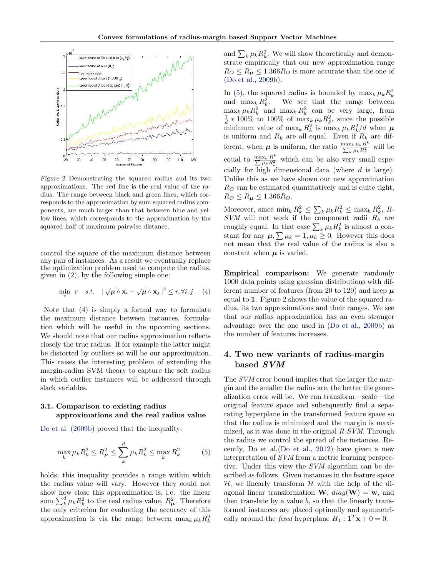<span id="page-3-0"></span>

Figure 2. Demonstrating the squared radius and its two approximations. The red line is the real value of the radius. The range between black and green lines, which corresponds to the approximation by sum squared radius components, are much larger than that between blue and yellow lines, which corresponds to the approximation by the squared half of maximum pairwise distance.

control the square of the maximum distance between any pair of instances. As a result we eventually replace the optimization problem used to compute the radius, given in [\(2\)](#page-2-0), by the following simple one:

$$
\min_{r} r \quad s.t. \quad \|\sqrt{\mu} \circ \mathbf{x}_{i} - \sqrt{\mu} \circ \mathbf{x}_{j}\|^{2} \leq r, \forall i, j \quad (4)
$$

Note that (4) is simply a formal way to formulate the maximum distance between instances, formulation which will be useful in the upcoming sections. We should note that our radius approximation reflects closely the true radius. If for example the latter might be distorted by outliers so will be our approximation. This raises the interesting problem of extending the margin-radius SVM theory to capture the soft radius in which outlier instances will be addressed through slack variables.

### 3.1. Comparison to existing radius approximations and the real radius value

[Do et al.](#page-8-0) [\(2009b\)](#page-8-0) proved that the inequality:

$$
\max_{k} \mu_{k} R_{k}^{2} \le R_{\mu}^{2} \le \sum_{k}^{d} \mu_{k} R_{k}^{2} \le \max_{k} R_{k}^{2}
$$
 (5)

holds; this inequality provides a range within which the radius value will vary. However they could not show how close this approximation is, i.e. the linear sum  $\sum_{k}^{d} \mu_k R_k^2$  to the real radius value,  $R_{\mu}^2$ . Therefore the only criterion for evaluating the accuracy of this approximation is via the range between  $\max_k \mu_k R_k^2$ 

and  $\sum_{k} \mu_k R_k^2$ . We will show theoretically and demonstrate empirically that our new approximation range  $R_O \le R_\mu \le 1.366 R_O$  is more accurate than the one of [\(Do et al.,](#page-8-0) [2009b\)](#page-8-0).

In (5), the squared radius is bounded by  $\max_k \mu_k R_k^2$ and  $\max_k R_k^2$ . We see that the range between  $\max_k \mu_k R_k^2$  and  $\max_k R_k^2$  can be very large, from  $\frac{1}{d} * 100\%$  to 100% of max<sub>k</sub>  $\mu_k R_k^2$ , since the possible minimum value of  $\max_k R_k^2$  is  $\max_k \mu_k R_k^2/d$  when  $\mu$ is uniform and  $R_k$  are all equal. Even if  $R_k$  are different, when  $\mu$  is uniform, the ratio  $\frac{\max_k \mu_k R^k}{\sum_{i} \mu_i R^2}$  $\frac{\max_k \mu_k R^2}{\sum_k \mu_k R_k^2}$  will be equal to  $\frac{\max_k R^k}{\sum_{u \in R^2}}$  $\frac{\max_k R^n}{\sum \mu_k R_k^2}$  which can be also very small especially for high dimensional data (where  $d$  is large). Unlike this as we have shown our new approximation  $R<sub>O</sub>$  can be estimated quantitatively and is quite tight,  $R_O \le R_\mu \le 1.366 R_O$ .

Moreover, since  $\min_k R_k^2 \leq \sum_k \mu_k R_k^2 \leq \max_k R_k^2$ , R- $SVM$  will not work if the component radii  $R_k$  are roughly equal. In that case  $\sum_{k} \mu_k R_k^2$  is almost a constant for any  $\mu$ ,  $\sum \mu_k = 1$ ,  $\mu_k \geq 0$ . However this does not mean that the real value of the radius is also a constant when  $\mu$  is varied.

Empirical comparison: We generate randomly 1000 data points using gaussian distributions with different number of features (from 20 to 120) and keep  $\mu$ equal to 1. Figure 2 shows the value of the squared radius, its two approximations and their ranges. We see that our radius approximation has an even stronger advantage over the one used in [\(Do et al.,](#page-8-0) [2009b\)](#page-8-0) as the number of features increases.

# 4. Two new variants of radius-margin based SVM

The SVM error bound implies that the larger the margin and the smaller the radius are, the better the generalization error will be. We can transform—scale—the original feature space and subsequently find a separating hyperplane in the transformed feature space so that the radius is minimized and the margin is maximized, as it was done in the original R-SVM. Through the radius we control the spread of the instances. Recently, Do et al.[\(Do et al.,](#page-8-0) [2012\)](#page-8-0) have given a new interpretation of SVM from a metric learning perspective. Under this view the SVM algorithm can be described as follows. Given instances in the feature space  $H$ , we linearly transform  $H$  with the help of the diagonal linear transformation **W**,  $diag(\mathbf{W}) = \mathbf{w}$ , and then translate by a value  $b$ , so that the linearly transformed instances are placed optimally and symmetrically around the *fixed* hyperplane  $H_1: \mathbf{1}^T \mathbf{x} + 0 = 0$ .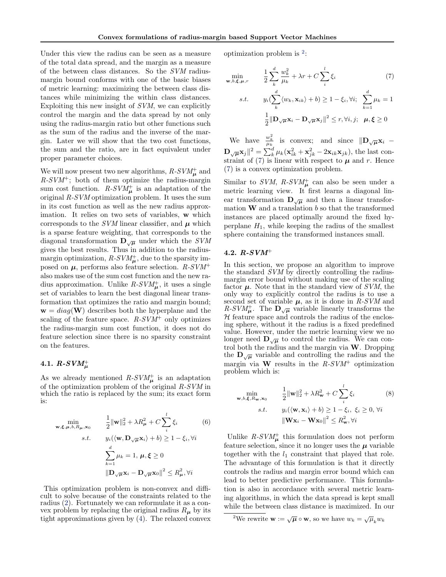<span id="page-4-0"></span>Under this view the radius can be seen as a measure of the total data spread, and the margin as a measure of the between class distances. So the SVM radiusmargin bound conforms with one of the basic biases of metric learning: maximizing the between class distances while minimizing the within class distances. Exploiting this new insight of SVM, we can explicitly control the margin and the data spread by not only using the radius-margin ratio but other functions such as the sum of the radius and the inverse of the margin. Later we will show that the two cost functions, the sum and the ratio, are in fact equivalent under proper parameter choices.

We will now present two new algorithms,  $R$ - $SVM_{\mu}^{+}$  and  $R-SVM^+$ ; both of them optimize the radius-margin sum cost function.  $R-SVM_{\mu}^{+}$  is an adaptation of the original R-SVM optimization problem. It uses the sum in its cost function as well as the new radius approximation. It relies on two sets of variables, w which corresponds to the SVM linear classifier, and  $\mu$  which is a sparse feature weighting, that corresponds to the diagonal transformation  $\mathbf{D}_{\sqrt{\mu}}$  under which the *SVM* gives the best results. Thus in addition to the radiusmargin optimization,  $R-SVM_{\mu}^{+}$ , due to the sparsity imposed on  $\mu$ , performs also feature selection.  $R-SVM^+$ also makes use of the sum cost function and the new radius approximation. Unlike  $R\text{-}SVM_{\mu}^+$ , it uses a single set of variables to learn the best diagonal linear transformation that optimizes the ratio and margin bound;  $\mathbf{w} = diag(\mathbf{W})$  describes both the hyperplane and the scaling of the feature space.  $R-SVM^+$  only optimizes the radius-margin sum cost function, it does not do feature selection since there is no sparsity constraint on the features.

# $4.1.$   $R$ - $SVM^+_\mu$

As we already mentioned  $R-SVM_{\mu}^{+}$  is an adaptation of the optimization problem of the original R-SVM in which the ratio is replaced by the sum; its exact form is:

$$
\min_{\mathbf{w}, \xi, \mu, b, R_{\mu}, \mathbf{x}_0} \qquad \frac{1}{2} ||\mathbf{w}||_2^2 + \lambda R_{\mu}^2 + C \sum_i^l \xi_i \qquad (6)
$$
\n
$$
s.t. \qquad y_i(\langle \mathbf{w}, \mathbf{D}_{\sqrt{\mu}} \mathbf{x}_i \rangle + b) \ge 1 - \xi_i, \forall i
$$
\n
$$
\sum_{k=1}^d \mu_k = 1, \ \mu, \xi \ge 0
$$
\n
$$
||\mathbf{D}_{\sqrt{\mu}} \mathbf{x}_i - \mathbf{D}_{\sqrt{\mu}} \mathbf{x}_0||^2 \le R_{\mu}^2, \forall i
$$

This optimization problem is non-convex and difficult to solve because of the constraints related to the radius [\(2\)](#page-2-0). Fortunately we can reformulate it as a convex problem by replacing the original radius  $R_{\mu}$  by its tight approximations given by [\(4\)](#page-3-0). The relaxed convex optimization problem is <sup>2</sup> :

$$
\min_{\mathbf{w},b,\xi,\mu,r} \qquad \frac{1}{2} \sum_{k}^{d} \frac{w_k^2}{\mu_k} + \lambda r + C \sum_{i}^{l} \xi_i \tag{7}
$$
\n
$$
s.t. \qquad y_i(\sum_{k}^{d} \langle w_k, \mathbf{x}_{ik} \rangle + b) \ge 1 - \xi_i, \forall i; \quad \sum_{k=1}^{d} \mu_k = 1
$$

$$
\frac{1}{2} \|\mathbf{D}_{\sqrt{\mu}} \mathbf{x}_i - \mathbf{D}_{\sqrt{\mu}} \mathbf{x}_j\|^2 \le r, \forall i, j; \quad \mu, \xi \ge 0
$$

We have  $\frac{w_k^2}{\mu_k}$  is convex; and since  $\|\mathbf{D}_{\sqrt{\mu}}\mathbf{x}_i\|$  $\mathbf{D}_{\sqrt{\boldsymbol{\mu}}}\mathbf{x}_j\|^2 = \sum_k^d \mu_k(\mathbf{x}_{ik}^2 + \mathbf{x}_{jk}^2 - 2\mathbf{x}_{ik}\mathbf{x}_{jk}),$  the last constraint of (7) is linear with respect to  $\mu$  and r. Hence (7) is a convex optimization problem.

Similar to SVM,  $R$ -SVM<sup>+</sup><sub> $\mu$ </sub> can also be seen under a metric learning view. It first learns a diagonal linear transformation  $\mathbf{D}_{\sqrt{\mu}}$  and then a linear transformation  $W$  and a translation  $b$  so that the transformed instances are placed optimally around the fixed hyperplane  $H_1$ , while keeping the radius of the smallest sphere containing the transformed instances small.

#### 4.2. R-SVM<sup>+</sup>

In this section, we propose an algorithm to improve the standard  $\dot{S}VM$  by directly controlling the radiusmargin error bound without making use of the scaling factor  $\mu$ . Note that in the standard view of SVM, the only way to explicitly control the radius is to use a second set of variable  $\mu$ , as it is done in R-SVM and  $R-SVM_{\mu}^{+}$ . The  $\mathbf{D}_{\sqrt{\mu}}$  variable linearly transforms the  $H$  feature space and controls the radius of the enclosing sphere, without it the radius is a fixed predefined value. However, under the metric learning view we no longer need  $\mathbf{D}_{\sqrt{\mu}}$  to control the radius. We can control both the radius and the margin via  $W$ . Dropping the  $\mathbf{D}_{\sqrt{\mu}}$  variable and controlling the radius and the margin via W results in the  $R-SVM^+$  optimization problem which is:

$$
\min_{\mathbf{w}, b, \xi, R_{\mathbf{w}}, \mathbf{x}_0} \qquad \frac{1}{2} \|\mathbf{w}\|_2^2 + \lambda R_{\mathbf{w}}^2 + C \sum_i^l \xi_i
$$
\n
$$
s.t. \qquad y_i(\langle \mathbf{w}, \mathbf{x}_i \rangle + b) \ge 1 - \xi_i, \ \xi_i \ge 0, \ \forall i
$$
\n
$$
\|\mathbf{W}\mathbf{x}_i - \mathbf{W}\mathbf{x}_0\|^2 \le R_{\mathbf{w}}^2, \forall i
$$
\n(8)

Unlike  $R$ - $SVM_{\mu}^{+}$  this formulation does not perform feature selection, since it no longer uses the  $\mu$  variable together with the  $l_1$  constraint that played that role. The advantage of this formulation is that it directly controls the radius and margin error bound which can lead to better predictive performance. This formulation is also in accordance with several metric learning algorithms, in which the data spread is kept small while the between class distance is maximized. In our

<sup>&</sup>lt;sup>2</sup>We rewrite  $\mathbf{w} := \sqrt{\boldsymbol{\mu}} \circ \mathbf{w}$ , so we have  $w_k = \sqrt{\mu}_k w_k$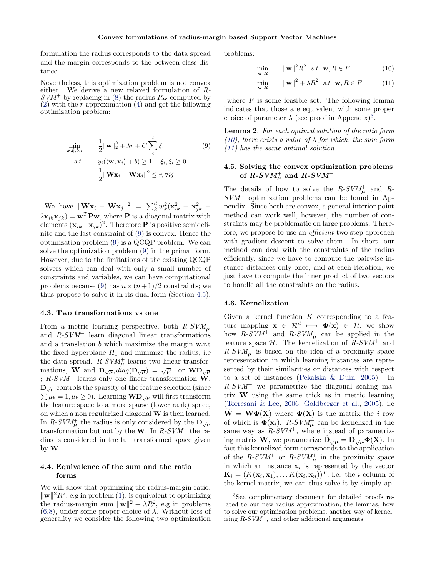<span id="page-5-0"></span>formulation the radius corresponds to the data spread and the margin corresponds to the between class distance.

Nevertheless, this optimization problem is not convex either. We derive a new relaxed formulation of R- $SVM^+$  by replacing in [\(8\)](#page-4-0) the radius  $R_w$  computed by  $(2)$  with the r approximation  $(4)$  and get the following optimization problem:

$$
\min_{\mathbf{w}, \xi, b, r} \qquad \frac{1}{2} \|\mathbf{w}\|_2^2 + \lambda r + C \sum_{i}^{l} \xi_i
$$
\n
$$
s.t. \qquad y_i(\langle \mathbf{w}, \mathbf{x}_i \rangle + b) \ge 1 - \xi_i, \xi_i \ge 0
$$
\n
$$
\frac{1}{2} \|\mathbf{W} \mathbf{x}_i - \mathbf{W} \mathbf{x}_j\|^2 \le r, \forall ij
$$
\n(9)

We have  $\|\mathbf{W} \mathbf{x}_i - \mathbf{W} \mathbf{x}_j\|^2 = \sum_{k}^d w_k^2 (\mathbf{x}_{ik}^2 + \mathbf{x}_{jk}^2 2\mathbf{x}_{ik}\mathbf{x}_{jk}$  =  $\mathbf{w}^T\mathbf{P}\mathbf{w}$ , where **P** is a diagonal matrix with elements  $(\mathbf{x}_{ik} - \mathbf{x}_{jk})^2$ . Therefore **P** is positive semidefinite and the last constraint of (9) is convex. Hence the optimization problem (9) is a QCQP problem. We can solve the optimization problem (9) in the primal form. However, due to the limitations of the existing QCQP solvers which can deal with only a small number of constraints and variables, we can have computational problems because (9) has  $n \times (n+1)/2$  constraints; we thus propose to solve it in its dual form (Section 4.5).

#### 4.3. Two transformations vs one

From a metric learning perspective, both  $R$ - $SVM_{\mu}^{+}$ and  $R-SVM$ <sup>+</sup> learn diagonal linear transformations and a translation b which maximize the margin w.r.t the fixed hyperplane  $H_1$  and minimize the radius, i.e the data spread.  $R-SVM_{\mu}^+$  learns two linear transformations, W and  $D_{\sqrt{\mu}}$ , diag( $D_{\sqrt{\mu}}$ ) =  $\sqrt{\mu}$  or  $WD_{\sqrt{\mu}}$ ;  $R-SVM^+$  learns only one linear transformation W.  $\mathbf{D}_{\sqrt{\mu}}$  controls the sparsity of the feature selection (since  $\sum \mu_k = 1, \mu_k \ge 0$ . Learning  $\mathbf{WD}_{\sqrt{\mu}}$  will first transform the feature space to a more sparse (lower rank) space, on which a non regularized diagonal W is then learned. In R-SVM<sup>+</sup> the radius is only considered by the  $D_{\sqrt{\mu}}$ transformation but not by the W. In  $R-SVM^+$  the radius is considered in the full transformed space given by W.

#### 4.4. Equivalence of the sum and the ratio forms

We will show that optimizing the radius-margin ratio,  $\|\mathbf{w}\|^2 R^2$ , e.g in problem [\(1\)](#page-2-0), is equivalent to optimizing the radius-margin sum  $\|\mathbf{w}\|^2 + \lambda R^2$ , e.g in problems  $(6,8)$ , under some proper choice of  $\lambda$ . Without loss of generality we consider the following two optimization problems:

min  $\mathbf{w},R$ 

$$
\mathbf{u} = \|\mathbf{w}\|^2 R^2 \quad s.t \quad \mathbf{w}, R \in F \tag{10}
$$

$$
\min_{\mathbf{w}, R} \qquad \|\mathbf{w}\|^2 + \lambda R^2 \quad s.t \quad \mathbf{w}, R \in F \tag{11}
$$

where  $F$  is some feasible set. The following lemma indicates that those are equivalent with some proper choice of parameter  $\lambda$  (see proof in Appendix)<sup>3</sup>.

Lemma 2. For each optimal solution of the ratio form (10), there exists a value of  $\lambda$  for which, the sum form (11) has the same optimal solution.

# 4.5. Solving the convex optimization problems of  $R$ - $SVM_{\mu}^+$  and  $R$ - $SVM^+$

The details of how to solve the  $R-SVM_{\mu}^+$  and R- $SVM^+$  optimization problems can be found in Appendix. Since both are convex, a general interior point method can work well, however, the number of constraints may be problematic on large problems. Therefore, we propose to use an *efficient* two-step approach with gradient descent to solve them. In short, our method can deal with the constraints of the radius efficiently, since we have to compute the pairwise instance distances only once, and at each iteration, we just have to compute the inner product of two vectors to handle all the constraints on the radius.

#### 4.6. Kernelization

Given a kernel function  $K$  corresponding to a feature mapping  $\mathbf{x} \in \mathcal{R}^d \longmapsto \Phi(\mathbf{x}) \in \mathcal{H}$ , we show how  $R$ -SVM<sup>+</sup> and  $R$ -SVM<sup>+</sup><sub>µ</sub> can be applied in the feature space  $H$ . The kernelization of  $R-SVM^+$  and  $R-SVM<sub>\mu</sub><sup>+</sup>$  is based on the idea of a proximity space representation in which learning instances are represented by their similarities or distances with respect to a set of instances [\(Pekalska & Duin,](#page-8-0) [2005\)](#page-8-0). In  $R-SVM^+$  we parametrize the diagonal scaling matrix W using the same trick as in metric learning [\(Torresani & Lee,](#page-8-0) [2006;](#page-8-0) [Goldberger et al.,](#page-8-0) [2005\)](#page-8-0), i.e  $W = W\Phi(X)$  where  $\Phi(X)$  is the matrix the i row of which is  $\Phi(\mathbf{x}_i)$ .  $R-SVM_{\mu}^+$  can be kernelized in the same way as  $R-SVM^+$ , where instead of parametrizing matrix **W**, we parametrize  $D_{\sqrt{\mu}} = D_{\sqrt{\mu}} \Phi(X)$ . In fact this kernelized form corresponds to the application of the  $R-SVM^+$  or  $R-SVM^+_{\mu}$  in the proximity space in which an instance  $x_i$  is represented by the vector  $\mathbf{K}_i = (K(\mathbf{x}_i, \mathbf{x}_1), \dots K(\mathbf{x}_i, \mathbf{x}_n))^T$ , i.e. the *i* column of the kernel matrix, we can thus solve it by simply ap-

<sup>&</sup>lt;sup>3</sup>See complimentary document for detailed proofs related to our new radius approximation, the lemmas, how to solve our optimization problems, another way of kernelizing  $R-SVM^+$ , and other additional arguments.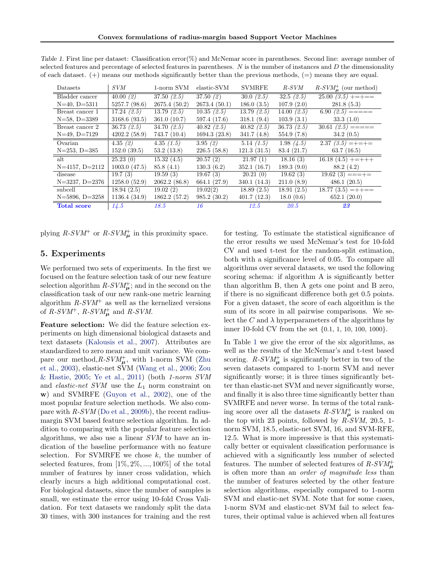| Datasets           | SVM          | 1-norm SVM    | elastic-SVM  | <b>SVMRFE</b> | $R$ - $SVM$   | $R-SVMu+$ (our method)             |
|--------------------|--------------|---------------|--------------|---------------|---------------|------------------------------------|
| Bladder cancer     | 40.00(2)     | 37.50(2.5)    | 37.50(2)     | 30.0(2.5)     | 32.5(2.5)     | $\overline{25.00}$ $(3.5)$ +=+==   |
| $N=40, D=5311$     | 5257.7(98.6) | 2675.4(50.2)  | 2673.4(50.1) | 186.0(3.5)    | 107.9(2.0)    | 281.8(5.3)                         |
| Breast cancer 1    | 17.24(2.5)   | 13.79(2.5)    | 10.35(2.5)   | 13.79(2.5)    | 14.00 $(2.5)$ | $\overline{6.9}0(2.5) = == ==$     |
| $N=58$ , $D=3389$  | 3168.6(93.5) | 361.0(10.7)   | 597.4 (17.6) | 318.1(9.4)    | 103.9(3.1)    | 33.3(1.0)                          |
| Breast cancer 2    | 36.73(2.5)   | 34.70 $(2.5)$ | 40.82(2.5)   | 40.82(2.5)    | 36.73 $(2.5)$ | $\overline{30.61}$ (2.5) ======    |
| $N=49, D=7129$     | 4202.2(58.9) | 743.7 (10.4)  | 1694.3(23.8) | 341.7(4.8)    | 554.9(7.8)    | 34.2(0.5)                          |
| Ovarian            | 4.35(2)      | 4.35(1.5)     | 3.95(2)      | 5.14(1.5)     | 1.98 $(4.5)$  | $\overline{2.37 \, (3.5)} = += +=$ |
| $N=253, D=385$     | 152.0(39.5)  | 53.2(13.8)    | 226.5(58.8)  | 121.3(31.5)   | 83.4 (21.7)   | 63.7(16.5)                         |
| alt                | 25.23(0)     | 15.32(4.5)    | 20.57(2)     | 21.97(1)      | 18.16(3)      | $16.18(4.5)$ +=+++                 |
| $N=4157, D=2112$   | 1003.0(47.5) | 85.8(4.1)     | 130.3(6.2)   | 352.1(16.7)   | 189.3(9.0)    | 88.2 (4.2)                         |
| disease            | 19.7(3)      | 19.59(3)      | 19.67(3)     | 20.21(0)      | 19.62(3)      | $19.62(3) = = = +$                 |
| $N=3237, D=2376$   | 1258.0(52.9) | 2062.2(86.8)  | 664.1 (27.9) | 340.1(14.3)   | 211.0(8.9)    | 486.1(20.5)                        |
| subcell            | 18.94(2.5)   | 19.02(2)      | 19.02(2)     | 18.89(2.5)    | 18.91(2.5)    | $18.77(3.5) = + +$                 |
| $N=5896, D=3258$   | 1136.4(34.9) | 1862.2(57.2)  | 985.2(30.2)  | 401.7(12.3)   | 18.0(0.6)     | 652.1(20.0)                        |
| <b>Total score</b> | 14.5         | 18.5          | 16           | 12.5          | 20.5          | 23                                 |

<span id="page-6-0"></span>Table 1. First line per dataset: Classification error(%) and McNemar score in parentheses. Second line: average number of selected features and percentage of selected features in parentheses.  $N$  is the number of instances and  $D$  the dimensionality of each dataset.  $(+)$  means our methods significantly better than the previous methods,  $(=)$  means they are equal.

plying  $R$ -SVM<sup>+</sup> or  $R$ -SVM<sup>+</sup> in this proximity space.

# 5. Experiments

We performed two sets of experiments. In the first we focused on the feature selection task of our new feature selection algorithm  $R-SVM_{\mu}^{+}$ ; and in the second on the classification task of our new rank-one metric learning algorithm  $R-SVM<sup>+</sup>$  as well as the kernelized versions of  $R$ -SVM<sup>+</sup>,  $R$ -SVM<sup>+</sup><sub> $\mu$ </sub> and  $R$ -SVM.

Feature selection: We did the feature selection experiments on high dimensional biological datasets and text datasets [\(Kalousis et al.,](#page-8-0) [2007\)](#page-8-0). Attributes are standardized to zero mean and unit variance. We compare our method,  $R$ - $SVM_{\mu}^{+}$ , with 1-norm SVM [\(Zhu](#page-8-0) [et al.,](#page-8-0) [2003\)](#page-8-0), elastic-net SVM [\(Wang et al.,](#page-8-0) [2006;](#page-8-0) [Zou](#page-8-0) [& Hastie,](#page-8-0) [2005;](#page-8-0) [Ye et al.,](#page-8-0) [2011\)](#page-8-0) (both 1-norm SVM and *elastic-net SVM* use the  $L_1$  norm constraint on w) and SVMRFE [\(Guyon et al.,](#page-8-0) [2002\)](#page-8-0), one of the most popular feature selection methods. We also compare with  $R-SVM$  [\(Do et al.,](#page-8-0) [2009b\)](#page-8-0), the recent radiusmargin SVM based feature selection algorithm. In addition to comparing with the popular feature selection algorithms, we also use a linear SVM to have an indication of the baseline performance with no feature selection. For SVMRFE we chose  $k$ , the number of selected features, from  $[1\%, 2\%, ..., 100\%]$  of the total number of features by inner cross validation, which clearly incurs a high additional computational cost. For biological datasets, since the number of samples is small, we estimate the error using 10-fold Cross Validation. For text datasets we randomly split the data 30 times, with 300 instances for training and the rest for testing. To estimate the statistical significance of the error results we used McNemar's test for 10-fold CV and used t-test for the random-split estimation, both with a significance level of 0.05. To compare all algorithms over several datasets, we used the following scoring schema: if algorithm A is significantly better than algorithm B, then A gets one point and B zero, if there is no significant difference both get 0.5 points. For a given dataset, the score of each algorithm is the sum of its score in all pairwise comparisons. We select the  $C$  and  $\lambda$  hyperparameters of the algorithms by inner 10-fold CV from the set {0.1, 1, 10, 100, 1000}.

In Table 1 we give the error of the six algorithms, as well as the results of the McNemar's and t-test based scoring.  $R$ -SV $M_{\mu}^{+}$  is significantly better in two of the seven datasets compared to 1-norm SVM and never significantly worse; it is three times significantly better than elastic-net SVM and never significantly worse, and finally it is also three time significantly better than SVMRFE and never worse. In terms of the total ranking score over all the datasets  $R$ - $SVM_{\mu}^{+}$  is ranked on the top with 23 points, followed by  $R-SVM$ , 20.5, 1norm SVM, 18.5, elastic-net SVM, 16, and SVM-RFE, 12.5. What is more impressive is that this systematically better or equivalent classification performance is achieved with a significantly less number of selected features. The number of selected features of  $R$ - $SVM_{\mu}^{+}$ is often more than an order of magnitude less than the number of features selected by the other feature selection algorithms, especially compared to 1-norm SVM and elastic-net SVM. Note that for some cases, 1-norm SVM and elastic-net SVM fail to select features, their optimal value is achieved when all features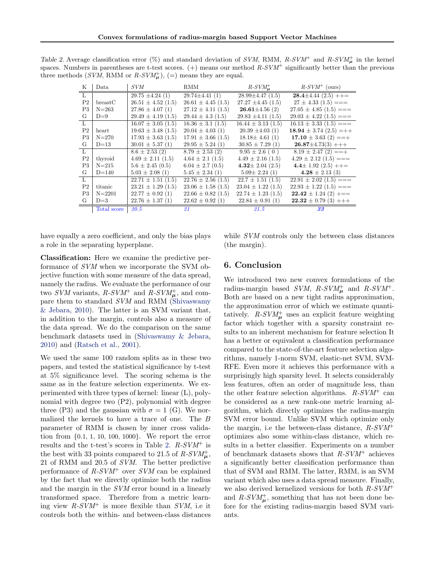| Κ              | Data        | <i>SVM</i>                | RMM                     | $R-SVM_{\mu}^+$        | $R-SVM^+$ (ours)             |
|----------------|-------------|---------------------------|-------------------------|------------------------|------------------------------|
| $\overline{L}$ |             | $29.75 \pm 4.24(1)$       | $29.74 \pm 4.41(1)$     | $28.99 \pm 4.47$ (1.5) | $28.4 \pm 4.44$ (2.5) ++=    |
| P <sub>2</sub> | break C     | $26.51 \pm 4.52$ (1.5)    | $26.61 \pm 4.45$ (1.5)  | $27.27 \pm 4.45$ (1.5) | $27 \pm 4.33$ $(1.5) ==$     |
| P3             | $N = 263$   | $27.86 \pm 4.07(1)$       | $27.12 \pm 4.11$ (1.5)  | $26.61 \pm 4.56$ (2)   | $27.05 \pm 4.85$ (1.5) ===   |
| G              | $D=9$       | $29.49 \pm 4.19$ (1.5)    | $29.44 \pm 4.3$ (1.5)   | $29.83 \pm 4.11 (1.5)$ | $29.03 \pm 4.22$ (1.5) ===   |
| L              |             | $16.07 \pm 3.05$ (1.5)    | $16.36 \pm 3.1 \ (1.5)$ | $16.44 \pm 3.13(1.5)$  | $16.13 \pm 3.33(1.5) ==$     |
| P <sub>2</sub> | heart       | $19.63 \pm 3.48$ (1.5)    | $20.04 \pm 4.03$ (1)    | $20.39 \pm 4.03(1)$    | 18.94 $\pm$ 3.74 (2.5) = + + |
| P3             | $N = 270$   | $17.93 \pm 3.63$ (1.5)    | $17.91 \pm 3.66$ (1.5)  | $18.18 \pm 4.61(1)$    | $17.10 \pm 3.63$ (2) ==+     |
| G              | $D=13$      | $30.01 \pm 5.37(1)$       | $29.95 \pm 5.24(1)$     | $30.85 \pm 7.29(1)$    | $26.87 \pm 4.73(3) + + +$    |
| $\overline{L}$ |             | $8.6 \pm 2.53$ (2)        | $8.79 \pm 2.53$ (2)     | $9.95 \pm 2.6$ (0)     | $8.19 \pm 2.47$ (2) ==+      |
| P <sub>2</sub> | thyroid     | $4.69 \pm 2.11(1.5)$      | $4.64 \pm 2.1$ (1.5)    | $4.49 \pm 2.16$ (1.5)  | $4.29 \pm 2.12$ (1.5) ===    |
| P3             | $N = 215$   | $5.6 \pm 2.45$ (0.5)      | $6.04 \pm 2.7$ (0.5)    | 4.32 $\pm$ 2.04 (2.5)  | 4.4 $\pm$ 1.92 (2.5) ++=     |
| G              | $D=140$     | $5.03 \pm 2.08$ (1)       | $5.45 \pm 2.34(1)$      | $5.09 \pm 2.24(1)$     | $4.28 \pm 2.13$ (3)          |
| $\overline{L}$ |             | $22.71 \pm 1.51 \; (1.5)$ | $22.76 \pm 2.56(1.5)$   | $22.7 \pm 1.51$ (1.5)  | $22.91 \pm 2.02$ (1.5) ===   |
| P <sub>2</sub> | titanic     | $23.21 \pm 1.29$ (1.5)    | $23.06 \pm 1.58$ (1.5)  | $23.04 \pm 1.22$ (1.5) | $22.93 \pm 1.22$ (1.5) ===   |
| P3             | $N = 2201$  | $22.77 \pm 0.92$ (1)      | $22.66 \pm 0.82$ (1.5)  | $22.74 \pm 1.23$ (1.5) | $22.42 \pm 1.24$ (2) $+=$    |
| G              | $D=3$       | $22.76 \pm 1.37(1)$       | $22.62 \pm 0.92$ (1)    | $22.84 \pm 0.91(1)$    | $22.32 \pm 0.79$ (3) +++     |
|                | Total score | 20.5                      | 21                      | 21.5                   | 33 <sub>3</sub>              |

<span id="page-7-0"></span>Table 2. Average classification error (%) and standard deviation of SVM, RMM, R-SVM<sup>+</sup> and R-SVM<sup>+</sup> in the kernel spaces. Numbers in parentheses are t-test scores.  $(+)$  means our method  $R-SVM^+$  significantly better than the previous three methods (SVM, RMM or  $R\text{-}SVM_{\mu}^{+}$ ), (=) means they are equal.

have equally a zero coefficient, and only the bias plays a role in the separating hyperplane.

Classification: Here we examine the predictive performance of SVM when we incorporate the SVM objective function with some measure of the data spread, namely the radius. We evaluate the performance of our two SVM variants,  $R$ -SVM<sup>+</sup> and  $R$ -SVM<sup>+</sup><sub>µ</sub>, and compare them to standard SVM and RMM [\(Shivaswamy](#page-8-0) [& Jebara,](#page-8-0) [2010\)](#page-8-0). The latter is an SVM variant that, in addition to the margin, controls also a measure of the data spread. We do the comparison on the same benchmark datasets used in [\(Shivaswamy & Jebara,](#page-8-0) [2010\)](#page-8-0) and [\(Ratsch et al.,](#page-8-0) [2001\)](#page-8-0).

We used the same 100 random splits as in these two papers, and tested the statistical significance by t-test at 5% significance level. The scoring schema is the same as in the feature selection experiments. We experimented with three types of kernel: linear (L), polynomial with degree two (P2), polynomial with degree three (P3) and the gaussian with  $\sigma = 1$  (G). We normalized the kernels to have a trace of one. The B parameter of RMM is chosen by inner cross validation from {0.1, 1, 10, 100, 1000}. We report the error results and the t-test's scores in Table 2.  $R-SVM<sup>+</sup>$  is the best with 33 points compared to 21.5 of  $R$ - $SVM_{\mu}^{+}$ , 21 of RMM and 20.5 of SVM. The better predictive performance of  $R-SVM^+$  over SVM can be explained by the fact that we directly optimize both the radius and the margin in the SVM error bound in a linearly transformed space. Therefore from a metric learning view  $R-SVM^+$  is more flexible than  $SVM$ , i.e it controls both the within- and between-class distances while *SVM* controls only the between class distances (the margin).

### 6. Conclusion

We introduced two new convex formulations of the radius-margin based  $SVM$ ,  $R-SVM<sup>+</sup><sub>\mu</sub>$  and  $R-SVM<sup>+</sup>$ . Both are based on a new tight radius approximation, the approximation error of which we estimate quantitatively.  $R$ -SVM<sup>+</sup> uses an explicit feature weighting factor which together with a sparsity constraint results to an inherent mechanism for feature selection It has a better or equivalent a classification performance compared to the state-of-the-art feature selection algorithms, namely 1-norm SVM, elastic-net SVM, SVM-RFE. Even more it achieves this performance with a surprisingly high sparsity level. It selects considerably less features, often an order of magnitude less, than the other feature selection algorithms.  $R-SVM^+$  can be considered as a new rank-one metric learning algorithm, which directly optimizes the radius-margin SVM error bound. Unlike SVM which optimize only the margin, i.e the between-class distance,  $R-SVM^+$ optimizes also some within-class distance, which results in a better classifier. Experiments on a number of benchmark datasets shows that  $R-SVM^+$  achieves a significantly better classification performance than that of SVM and RMM. The latter, RMM, is an SVM variant which also uses a data spread measure. Finally, we also derived kernelized versions for both  $R-SVM^+$ and  $R-SVM_{\mu}^{+}$ , something that has not been done before for the existing radius-margin based SVM variants.